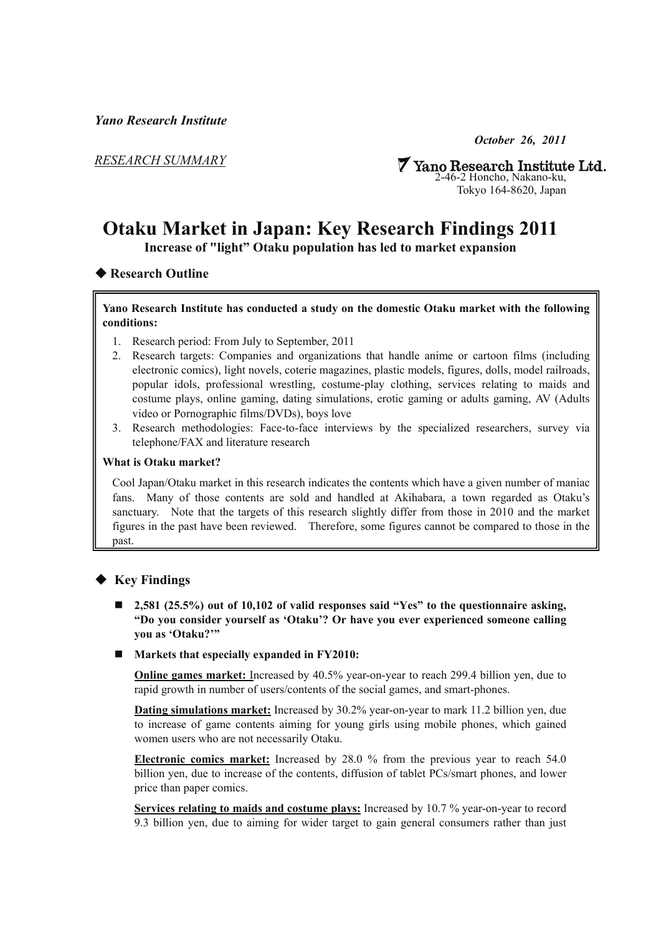*Yano Research Institute* 

*RESEARCH SUMMARY*

*October 26, 2011* 

**7 Yano Research Institute Ltd.**<br>2-46-2 Honcho, Nakano-ku, Tokyo 164-8620, Japan

# **Otaku Market in Japan: Key Research Findings 2011**

**Increase of "light" Otaku population has led to market expansion** 

# ◆ **Research Outline**

#### **Yano Research Institute has conducted a study on the domestic Otaku market with the following conditions:**

- 1. Research period: From July to September, 2011
- 2. Research targets: Companies and organizations that handle anime or cartoon films (including electronic comics), light novels, coterie magazines, plastic models, figures, dolls, model railroads, popular idols, professional wrestling, costume-play clothing, services relating to maids and costume plays, online gaming, dating simulations, erotic gaming or adults gaming, AV (Adults video or Pornographic films/DVDs), boys love
- 3. Research methodologies: Face-to-face interviews by the specialized researchers, survey via telephone/FAX and literature research

#### **What is Otaku market?**

Cool Japan/Otaku market in this research indicates the contents which have a given number of maniac fans. Many of those contents are sold and handled at Akihabara, a town regarded as Otaku's sanctuary. Note that the targets of this research slightly differ from those in 2010 and the market figures in the past have been reviewed. Therefore, some figures cannot be compared to those in the past.

# ◆ **Key Findings**

- 2,581 (25.5%) out of 10,102 of valid responses said "Yes" to the questionnaire asking, **"Do you consider yourself as 'Otaku'? Or have you ever experienced someone calling you as 'Otaku?'"**
- Markets that especially expanded in FY2010:

**Online games market:** Increased by 40.5% year-on-year to reach 299.4 billion yen, due to rapid growth in number of users/contents of the social games, and smart-phones.

**Dating simulations market:** Increased by 30.2% year-on-year to mark 11.2 billion yen, due to increase of game contents aiming for young girls using mobile phones, which gained women users who are not necessarily Otaku.

**Electronic comics market:** Increased by 28.0 % from the previous year to reach 54.0 billion yen, due to increase of the contents, diffusion of tablet PCs/smart phones, and lower price than paper comics.

**Services relating to maids and costume plays:** Increased by 10.7 % year-on-year to record 9.3 billion yen, due to aiming for wider target to gain general consumers rather than just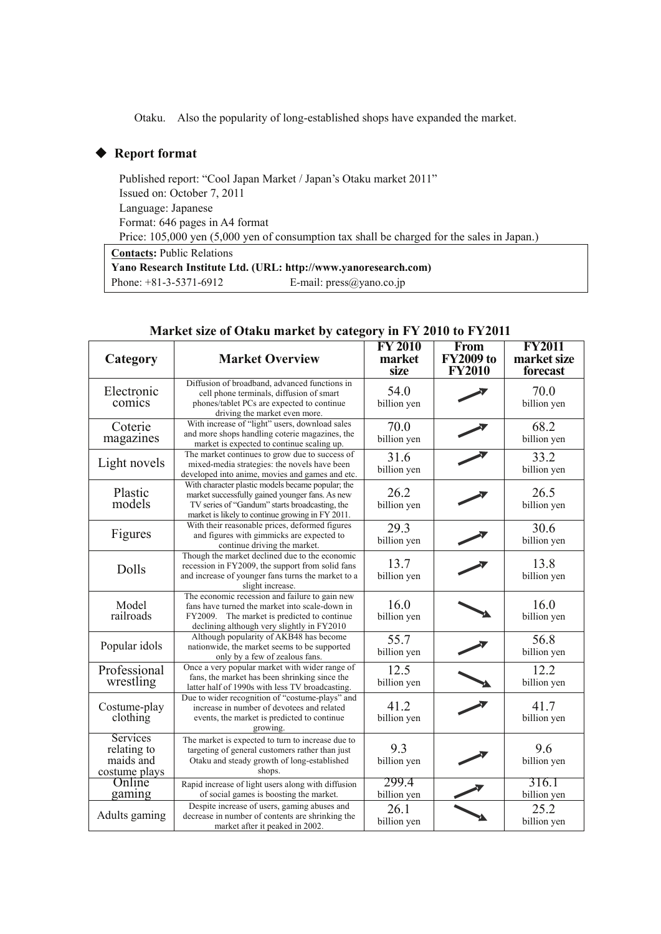Otaku. Also the popularity of long-established shops have expanded the market.

## ◆ **Report format**

Published report: "Cool Japan Market / Japan's Otaku market 2011" Issued on: October 7, 2011 Language: Japanese Format: 646 pages in A4 format Price: 105,000 yen (5,000 yen of consumption tax shall be charged for the sales in Japan.) Yano Research Institute Ltd. (URL: http://www.yanoresearch.com) **Contacts:** Public Relations Phone: +81-3-5371-6912 E-mail: press@yano.co.jp

## **Market size of Otaku market by category in FY 2010 to FY2011**

| Category                                              | <b>Market Overview</b>                                                                                                                                                                                     | <b>FY 2010</b><br>market<br>size | From<br><b>FY2009 to</b><br><b>FY2010</b> | <b>FY2011</b><br>market size<br>forecast |
|-------------------------------------------------------|------------------------------------------------------------------------------------------------------------------------------------------------------------------------------------------------------------|----------------------------------|-------------------------------------------|------------------------------------------|
| Electronic<br>comics                                  | Diffusion of broadband, advanced functions in<br>cell phone terminals, diffusion of smart<br>phones/tablet PCs are expected to continue<br>driving the market even more.                                   | 54.0<br>billion yen              |                                           | 70.0<br>billion yen                      |
| Coterie<br>magazines                                  | With increase of "light" users, download sales<br>and more shops handling coterie magazines, the<br>market is expected to continue scaling up.                                                             | 70.0<br>billion yen              |                                           | 68.2<br>billion yen                      |
| Light novels                                          | The market continues to grow due to success of<br>mixed-media strategies: the novels have been<br>developed into anime, movies and games and etc.                                                          | 31.6<br>billion yen              |                                           | 33.2<br>billion yen                      |
| Plastic<br>models                                     | With character plastic models became popular; the<br>market successfully gained younger fans. As new<br>TV series of "Gandum" starts broadcasting, the<br>market is likely to continue growing in FY 2011. | 26.2<br>billion yen              |                                           | 26.5<br>billion yen                      |
| Figures                                               | With their reasonable prices, deformed figures<br>and figures with gimmicks are expected to<br>continue driving the market.                                                                                | 29.3<br>billion yen              |                                           | 30.6<br>billion yen                      |
| Dolls                                                 | Though the market declined due to the economic<br>recession in FY2009, the support from solid fans<br>and increase of younger fans turns the market to a<br>slight increase.                               | 13.7<br>billion yen              |                                           | 13.8<br>billion yen                      |
| Model<br>railroads                                    | The economic recession and failure to gain new<br>fans have turned the market into scale-down in<br>FY2009. The market is predicted to continue<br>declining although very slightly in FY2010              | 16.0<br>billion yen              |                                           | 16.0<br>billion yen                      |
| Popular idols                                         | Although popularity of AKB48 has become<br>nationwide, the market seems to be supported<br>only by a few of zealous fans.                                                                                  | 55.7<br>billion yen              |                                           | 56.8<br>billion yen                      |
| Professional<br>wrestling                             | Once a very popular market with wider range of<br>fans, the market has been shrinking since the<br>latter half of 1990s with less TV broadcasting.                                                         | 12.5<br>billion yen              |                                           | 12.2<br>billion yen                      |
| Costume-play<br>clothing                              | Due to wider recognition of "costume-plays" and<br>increase in number of devotees and related<br>events, the market is predicted to continue<br>growing.                                                   | 41.2<br>billion yen              |                                           | 41.7<br>billion yen                      |
| Services<br>relating to<br>maids and<br>costume plays | The market is expected to turn to increase due to<br>targeting of general customers rather than just<br>Otaku and steady growth of long-established<br>shops.                                              | 9.3<br>billion yen               |                                           | 9.6<br>billion yen                       |
| Online<br>gaming                                      | Rapid increase of light users along with diffusion<br>of social games is boosting the market.                                                                                                              | 299.4<br>billion yen             |                                           | 316.1<br>billion yen                     |
| Adults gaming                                         | Despite increase of users, gaming abuses and<br>decrease in number of contents are shrinking the<br>market after it peaked in 2002.                                                                        | 26.1<br>billion yen              |                                           | 25.2<br>billion yen                      |